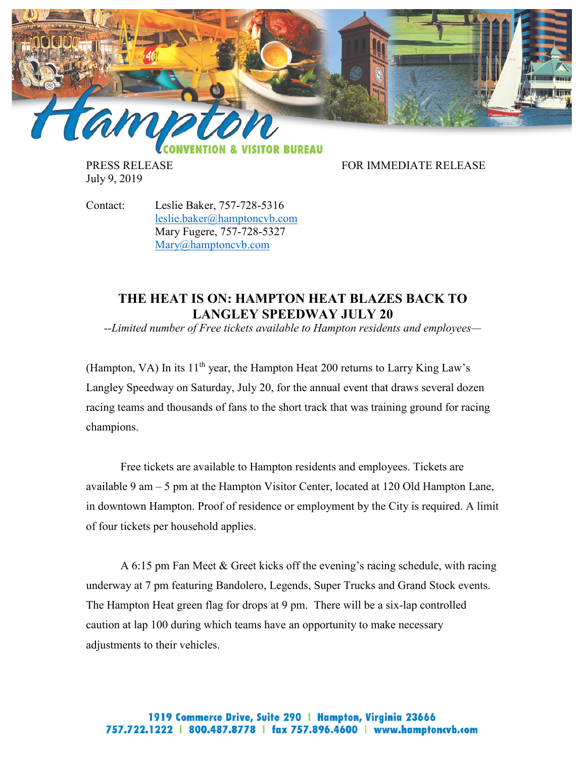

July 9, 2019

PRESS RELEASE FOR IMMEDIATE RELEASE

Contact: Leslie Baker, 757-728-5316 [leslie.baker@hamptoncvb.com](mailto:leslie.baker@hamptoncvb.com) Mary Fugere, 757-728-5327 [Mary@hamptoncvb.com](mailto:Mary@hamptoncvb.com)

## **THE HEAT IS ON: HAMPTON HEAT BLAZES BACK TO LANGLEY SPEEDWAY JULY 20**

*--Limited number of Free tickets available to Hampton residents and employees—*

(Hampton, VA) In its  $11<sup>th</sup>$  year, the Hampton Heat 200 returns to Larry King Law's Langley Speedway on Saturday, July 20, for the annual event that draws several dozen racing teams and thousands of fans to the short track that was training ground for racing champions.

Free tickets are available to Hampton residents and employees. Tickets are available 9 am – 5 pm at the Hampton Visitor Center, located at 120 Old Hampton Lane, in downtown Hampton. Proof of residence or employment by the City is required. A limit of four tickets per household applies.

A 6:15 pm Fan Meet & Greet kicks off the evening's racing schedule, with racing underway at 7 pm featuring Bandolero, Legends, Super Trucks and Grand Stock events. The Hampton Heat green flag for drops at 9 pm. There will be a six-lap controlled caution at lap 100 during which teams have an opportunity to make necessary adjustments to their vehicles.